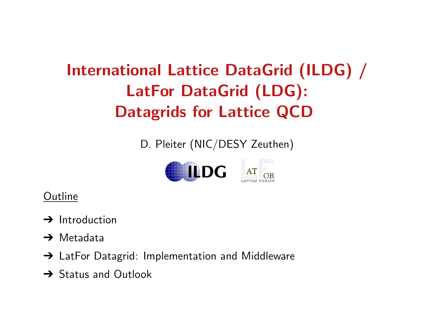## International Lattice DataGrid (ILDG) / LatFor DataGrid (LDG): Datagrids for Lattice QCD

D. Pleiter (NIC/DESY Zeuthen)



#### **Outline**

- $\rightarrow$  Introduction
- → Metadata
- → LatFor Datagrid: Implementation and Middleware
- **→ Status and Outlook**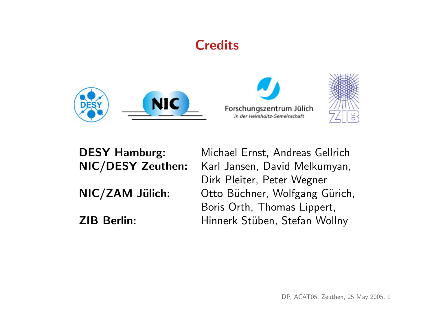#### **Credits**







DESY Hamburg: Michael Ernst, Andreas Gellrich NIC/DESY Zeuthen: Karl Jansen, David Melkumyan, Dirk Pleiter, Peter Wegner NIC/ZAM Jülich: Otto Büchner, Wolfgang Gürich, Boris Orth, Thomas Lippert, ZIB Berlin: Hinnerk Stüben, Stefan Wollny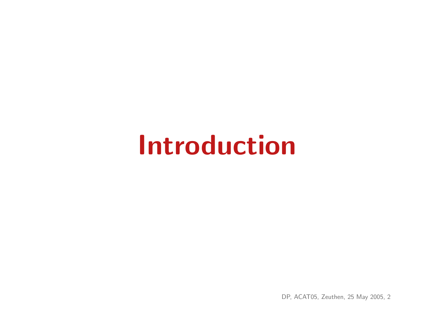# Introduction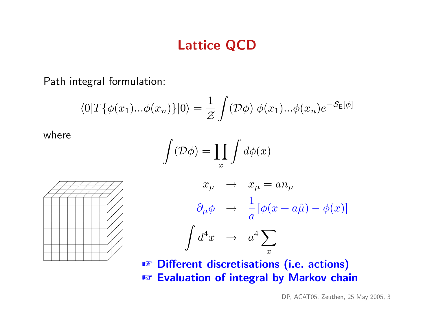#### Lattice QCD

Path integral formulation:

$$
\langle 0|T\{\phi(x_1)...\phi(x_n)\}|0\rangle = \frac{1}{\mathcal{Z}}\int (\mathcal{D}\phi)\ \phi(x_1)...\phi(x_n)e^{-\mathcal{S}_E[\phi]}
$$

where

$$
\int(\mathcal{D}\phi)=\prod_x\int d\phi(x)
$$





**☞ Different discretisations (i.e. actions) ☞ Evaluation of integral by Markov chain**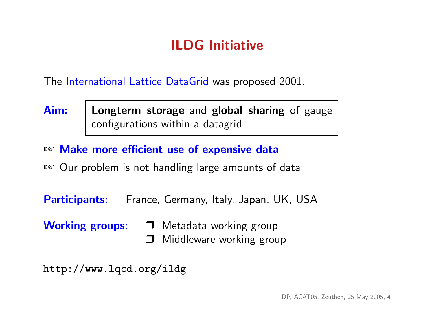### ILDG Initiative

The International Lattice DataGrid was proposed 2001.

- Aim: | Longterm storage and global sharing of gauge configurations within a datagrid
- ☞ Make more efficient use of expensive data
- Our problem is not handling large amounts of data

Participants: France, Germany, Italy, Japan, UK, USA

Working groups:  $\Box$  Metadata working group Middleware working group

http://www.lqcd.org/ildg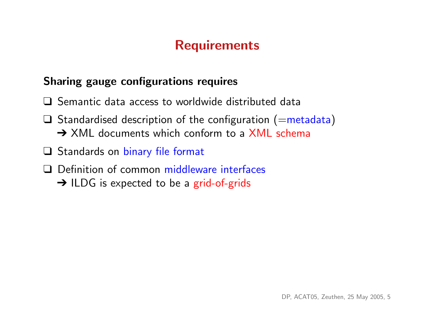#### **Requirements**

#### Sharing gauge configurations requires

- ❑ Semantic data access to worldwide distributed data
- $\Box$  Standardised description of the configuration (=metadata) **→ XML documents which conform to a XML schema**
- ❑ Standards on binary file format
- ❑ Definition of common middleware interfaces
	- → ILDG is expected to be a grid-of-grids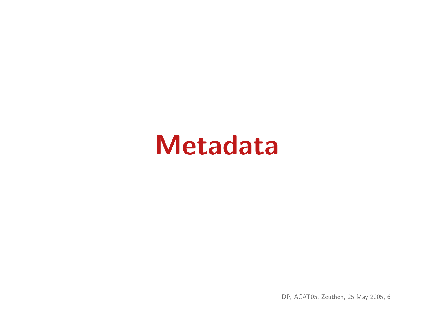## Metadata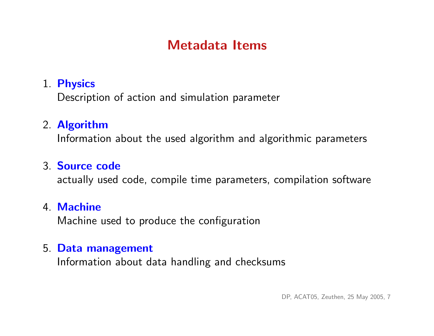#### Metadata Items

#### 1. Physics

Description of action and simulation parameter

#### 2. Algorithm

Information about the used algorithm and algorithmic parameters

#### 3. Source code

actually used code, compile time parameters, compilation software

#### 4. Machine

Machine used to produce the configuration

#### 5. Data management

Information about data handling and checksums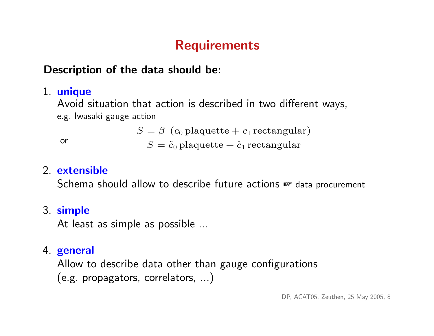## **Requirements**

#### Description of the data should be:

#### 1. unique

Avoid situation that action is described in two different ways, e.g. Iwasaki gauge action

 $S = \beta$  (c<sub>0</sub> plaquette + c<sub>1</sub> rectangular)

or  $S = \tilde{c}_0$  plaquette  $\tilde{c}_1$  rectangular

#### 2. extensible

Schema should allow to describe future actions ☞ data procurement

#### 3. simple

At least as simple as possible ...

#### 4. general

Allow to describe data other than gauge configurations (e.g. propagators, correlators, ...)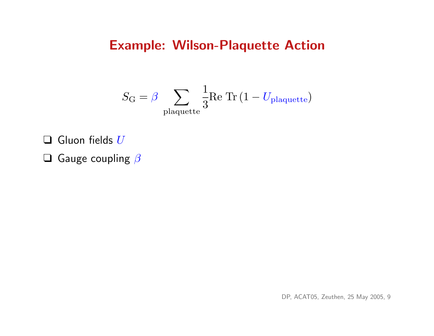#### Example: Wilson-Plaquette Action

$$
S_{\rm G} = \beta \sum_{\rm plaquette} \frac{1}{3} \textrm{Re Tr} \left( 1 - U_{\rm plaquette} \right)
$$

 $\Box$  Gluon fields  $U$ 

 $\Box$  Gauge coupling  $\beta$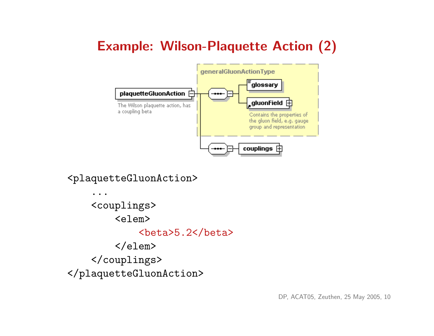## Example: Wilson-Plaquette Action (2)



<plaquetteGluonAction>

... <couplings> <elem> **>5.2** $**beta**$  $\langle$ elem $\rangle$ </couplings> </plaquetteGluonAction>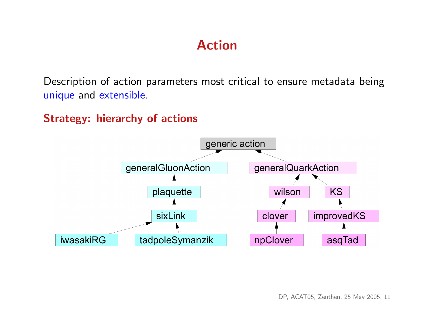#### Action

Description of action parameters most critical to ensure metadata being unique and extensible.

Strategy: hierarchy of actions

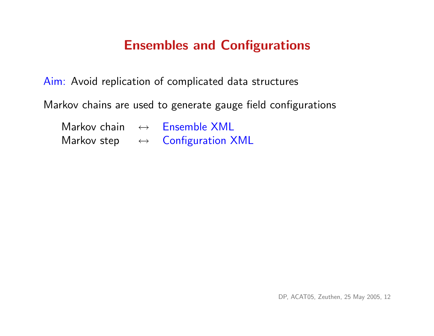#### Ensembles and Configurations

Aim: Avoid replication of complicated data structures

Markov chains are used to generate gauge field configurations

| Markov chain | $\leftrightarrow$ | <b>Ensemble XML</b>      |
|--------------|-------------------|--------------------------|
| Markov step  |                   | <b>Configuration XML</b> |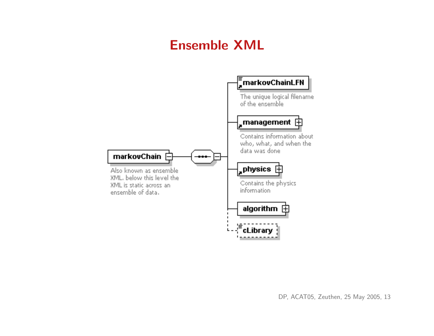### Ensemble XML

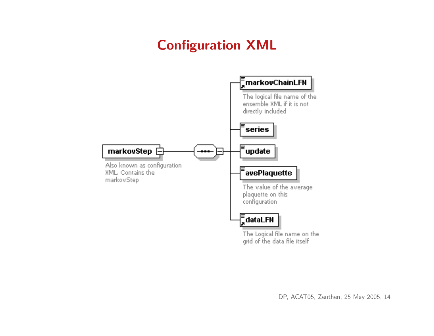## Configuration XML

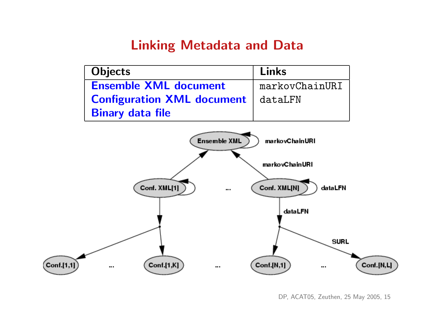#### Linking Metadata and Data

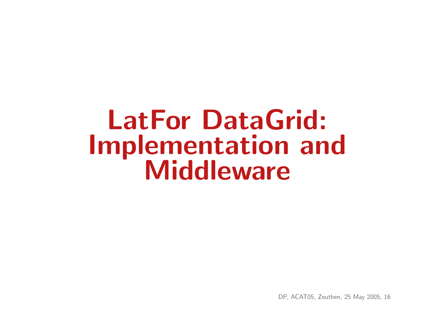## LatFor DataGrid: Implementation and **Middleware**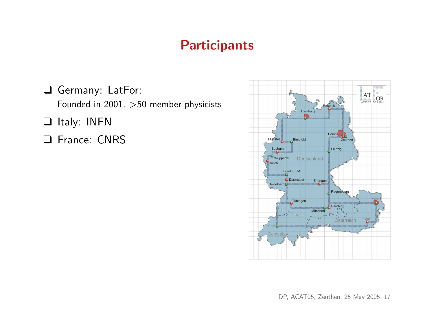#### **Participants**

❑ Germany: LatFor: Founded in 2001, >50 member physicists ❑ Italy: INFN ❑ France: CNRS

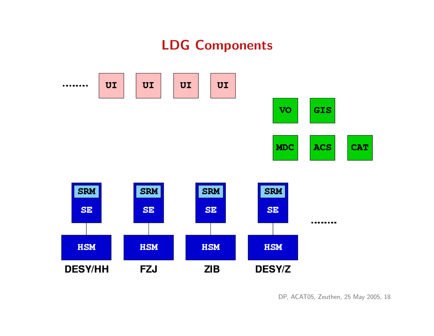## LDG Components

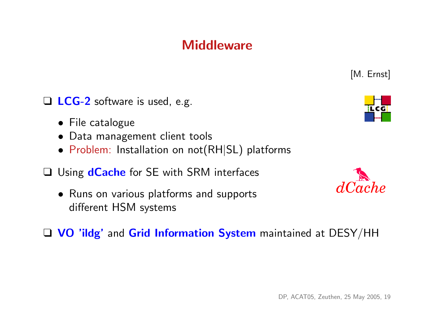#### **Middleware**

□ LCG-2 software is used, e.g.

- File catalogue
- Data management client tools
- Problem: Installation on not(RH|SL) platforms
- □ Using **dCache** for SE with SRM interfaces
	- Runs on various platforms and supports different HSM systems
- □ VO 'ildg' and Grid Information System maintained at DESY/HH



[M. Ernst]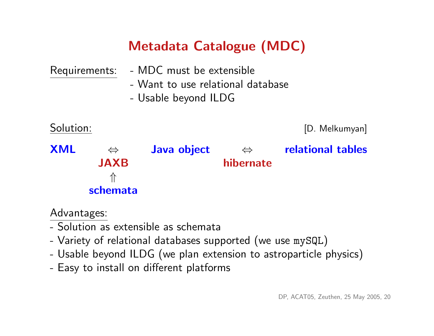## Metadata Catalogue (MDC)

| Requirements: |                   | - MDC must be extensible                                  |                   |                          |
|---------------|-------------------|-----------------------------------------------------------|-------------------|--------------------------|
|               |                   | - Want to use relational database<br>- Usable beyond ILDG |                   |                          |
| Solution:     |                   |                                                           |                   | [D. Melkumyan]           |
| <b>XML</b>    | $\Leftrightarrow$ | Java object                                               | $\Leftrightarrow$ | <b>relational tables</b> |
|               | <b>JAXB</b>       |                                                           | hibernate         |                          |
|               | 介<br>schemata     |                                                           |                   |                          |
|               |                   |                                                           |                   |                          |

#### Advantages:

- Solution as extensible as schemata
- Variety of relational databases supported (we use mySQL)
- Usable beyond ILDG (we plan extension to astroparticle physics)
- Easy to install on different platforms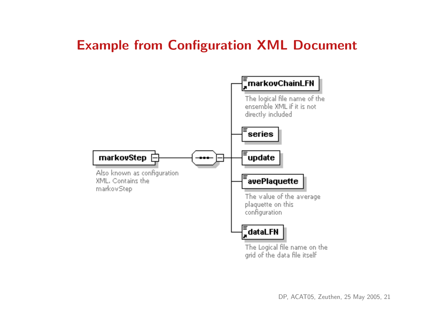#### Example from Configuration XML Document

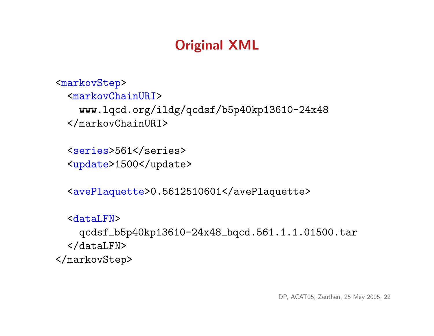## Original XML

```
<markovStep>
  <markovChainURI>
    www.lqcd.org/ildg/qcdsf/b5p40kp13610-24x48
  </markovChainURI>
```
<series>561</series> <update>1500</update>

<avePlaquette>0.5612510601</avePlaquette>

```
<dataLFN>
    qcdsf b5p40kp13610-24x48 bqcd.561.1.1.01500.tar
  </dataLFN>
</markovStep>
```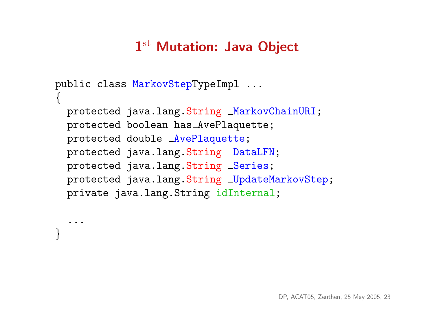## 1st Mutation: Java Object

```
public class MarkovStepTypeImpl ...
{
  protected java.lang.String MarkovChainURI;
  protected boolean has AvePlaquette;
  protected double AvePlaquette;
  protected java.lang.String DataLFN;
  protected java.lang.String _Series;
  protected java.lang.String _UpdateMarkovStep;
  private java.lang.String idInternal;
```
...

}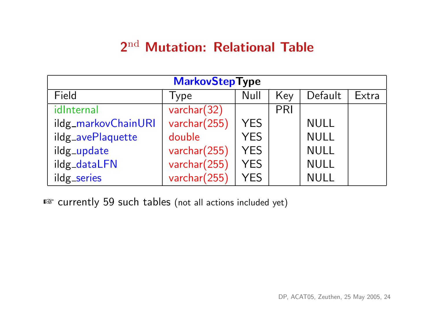### 2nd Mutation: Relational Table

| <b>MarkovStepType</b> |              |            |     |             |       |  |
|-----------------------|--------------|------------|-----|-------------|-------|--|
| Field                 | Type         | Null       | Key | Default     | Extra |  |
| idInternal            | varchar(32)  |            | PRI |             |       |  |
| ildg_markovChainURI   | varchar(255) | <b>YES</b> |     | <b>NULL</b> |       |  |
| ildg_avePlaquette     | double       | <b>YES</b> |     | <b>NULL</b> |       |  |
| ildg_update           | varchar(255) | <b>YES</b> |     | <b>NULL</b> |       |  |
| ildg_dataLFN          | varchar(255) | <b>YES</b> |     | <b>NULL</b> |       |  |
| ildg_series           | varchar(255) | <b>YFS</b> |     | NULL        |       |  |

■ currently 59 such tables (not all actions included yet)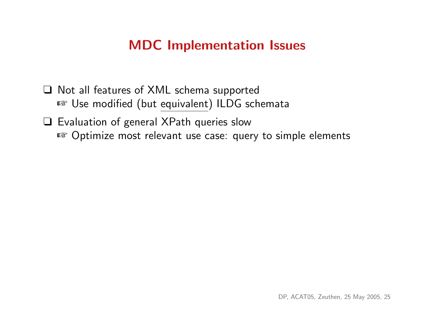#### MDC Implementation Issues

- ❑ Not all features of XML schema supported ■ Use modified (but equivalent) ILDG schemata
- ❑ Evaluation of general XPath queries slow ☞ Optimize most relevant use case: query to simple elements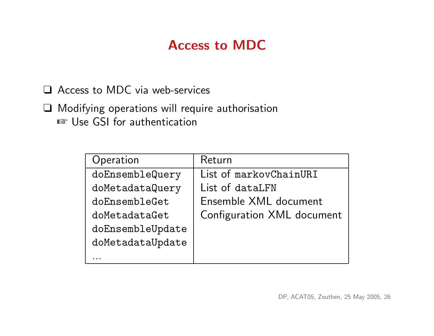### Access to MDC

❑ Access to MDC via web-services

❑ Modifying operations will require authorisation ■ Use GSI for authentication

| Operation        | Return                     |
|------------------|----------------------------|
| doEnsembleQuery  | List of markovChainURI     |
| doMetadataQuery  | List of dataLFN            |
| doEnsembleGet    | Ensemble XML document      |
| doMetadataGet    | Configuration XML document |
| doEnsembleUpdate |                            |
| doMetadataUpdate |                            |
|                  |                            |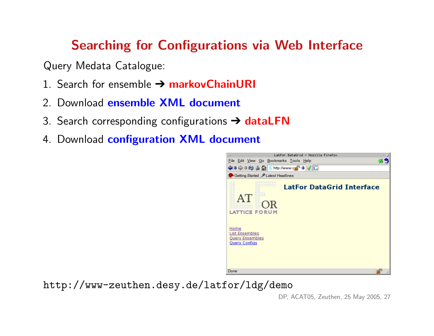#### Searching for Configurations via Web Interface

Query Medata Catalogue:

- 1. Search for ensemble  $\rightarrow$  markovChainURI
- 2. Download ensemble XML document
- 3. Search corresponding configurations  $\rightarrow$  dataLFN
- 4. Download configuration XML document



http://www-zeuthen.desy.de/latfor/ldg/demo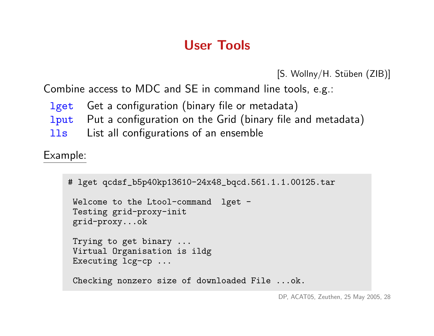## User Tools

```
[S. Wollny/H. Stüben (ZIB)]
```
Combine access to MDC and SE in command line tools, e.g.:

- lget Get a configuration (binary file or metadata)
- 1 put Put a configuration on the Grid (binary file and metadata)
- lls List all configurations of an ensemble

Example:

```
# lget qcdsf_b5p40kp13610-24x48_bqcd.561.1.1.00125.tar
 Welcome to the Ltool-command lget -
 Testing grid-proxy-init
 grid-proxy...ok
 Trying to get binary ...
 Virtual Organisation is ildg
 Executing lcg-cp ...
 Checking nonzero size of downloaded File ...ok.
```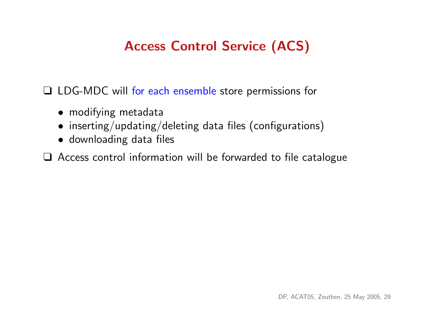## Access Control Service (ACS)

❑ LDG-MDC will for each ensemble store permissions for

- modifying metadata
- inserting/updating/deleting data files (configurations)
- downloading data files

❑ Access control information will be forwarded to file catalogue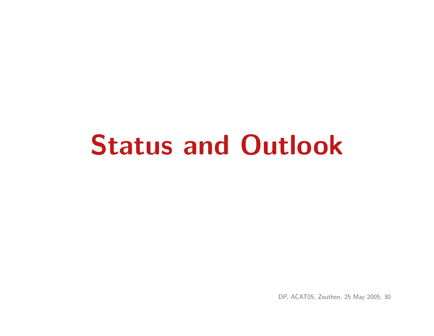# Status and Outlook